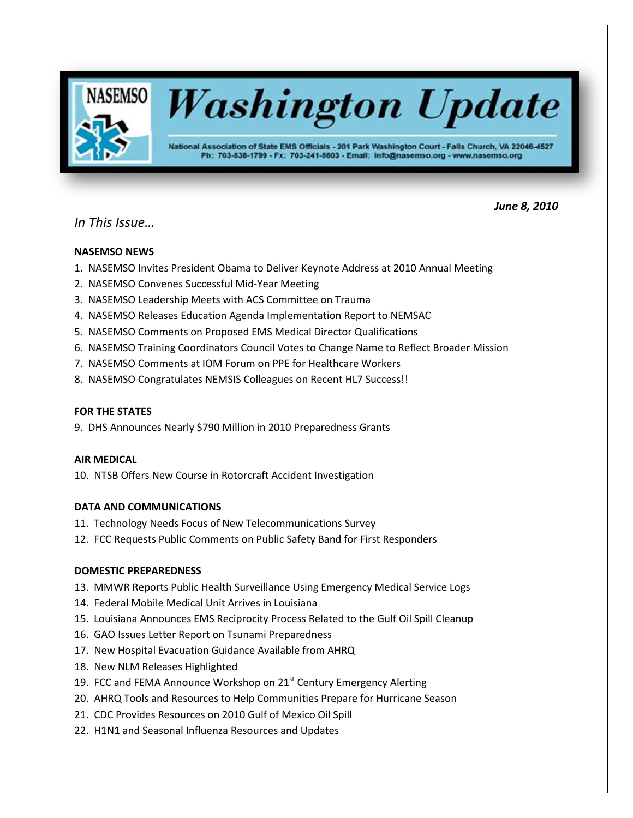

*In This Issue…*

# *June 8, 2010*

# **NASEMSO NEWS**

- 1. NASEMSO Invites President Obama to Deliver Keynote Address at 2010 Annual Meeting
- 2. NASEMSO Convenes Successful Mid-Year Meeting
- 3. NASEMSO Leadership Meets with ACS Committee on Trauma
- 4. NASEMSO Releases Education Agenda Implementation Report to NEMSAC
- 5. NASEMSO Comments on Proposed EMS Medical Director Qualifications
- 6. NASEMSO Training Coordinators Council Votes to Change Name to Reflect Broader Mission
- 7. NASEMSO Comments at IOM Forum on PPE for Healthcare Workers
- 8. NASEMSO Congratulates NEMSIS Colleagues on Recent HL7 Success!!

# **FOR THE STATES**

9. DHS Announces Nearly \$790 Million in 2010 Preparedness Grants

# **AIR MEDICAL**

10. NTSB Offers New Course in Rotorcraft Accident Investigation

# **DATA AND COMMUNICATIONS**

- 11. Technology Needs Focus of New Telecommunications Survey
- 12. FCC Requests Public Comments on Public Safety Band for First Responders

# **DOMESTIC PREPAREDNESS**

- 13. MMWR Reports Public Health Surveillance Using Emergency Medical Service Logs
- 14. Federal Mobile Medical Unit Arrives in Louisiana
- 15. Louisiana Announces EMS Reciprocity Process Related to the Gulf Oil Spill Cleanup
- 16. GAO Issues Letter Report on Tsunami Preparedness
- 17. New Hospital Evacuation Guidance Available from AHRQ
- 18. New NLM Releases Highlighted
- 19. FCC and FEMA Announce Workshop on 21<sup>st</sup> Century Emergency Alerting
- 20. AHRQ Tools and Resources to Help Communities Prepare for Hurricane Season
- 21. CDC Provides Resources on 2010 Gulf of Mexico Oil Spill
- 22. H1N1 and Seasonal Influenza Resources and Updates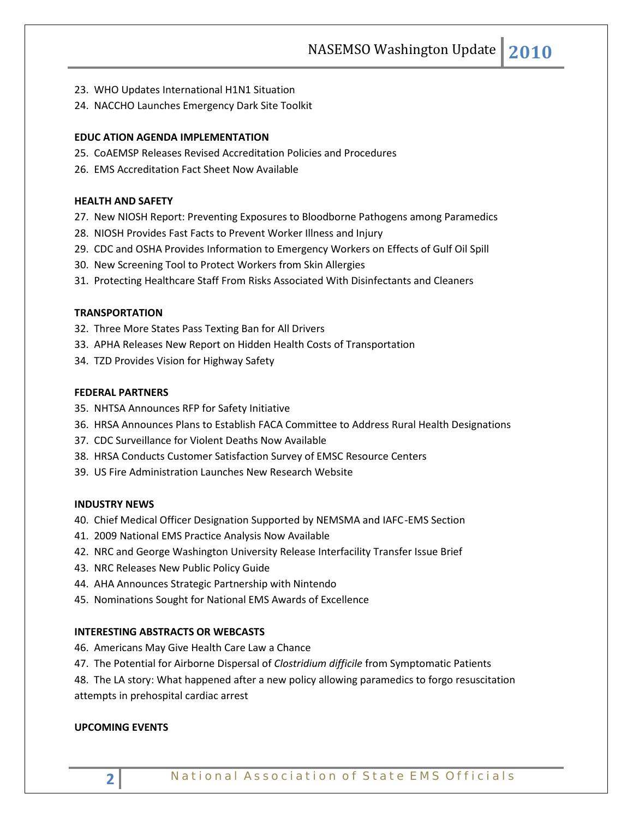NASEMSO Washington Update **2010**

- 23. WHO Updates International H1N1 Situation
- 24. NACCHO Launches Emergency Dark Site Toolkit

# **EDUC ATION AGENDA IMPLEMENTATION**

- 25. CoAEMSP Releases Revised Accreditation Policies and Procedures
- 26. EMS Accreditation Fact Sheet Now Available

# **HEALTH AND SAFETY**

- 27. New NIOSH Report: Preventing Exposures to Bloodborne Pathogens among Paramedics
- 28. NIOSH Provides Fast Facts to Prevent Worker Illness and Injury
- 29. CDC and OSHA Provides Information to Emergency Workers on Effects of Gulf Oil Spill
- 30. New Screening Tool to Protect Workers from Skin Allergies
- 31. Protecting Healthcare Staff From Risks Associated With Disinfectants and Cleaners

# **TRANSPORTATION**

- 32. Three More States Pass Texting Ban for All Drivers
- 33. APHA Releases New Report on Hidden Health Costs of Transportation
- 34. TZD Provides Vision for Highway Safety

### **FEDERAL PARTNERS**

- 35. NHTSA Announces RFP for Safety Initiative
- 36. HRSA Announces Plans to Establish FACA Committee to Address Rural Health Designations
- 37. CDC Surveillance for Violent Deaths Now Available
- 38. HRSA Conducts Customer Satisfaction Survey of EMSC Resource Centers
- 39. US Fire Administration Launches New Research Website

### **INDUSTRY NEWS**

- 40. Chief Medical Officer Designation Supported by NEMSMA and IAFC-EMS Section
- 41. 2009 National EMS Practice Analysis Now Available
- 42. NRC and George Washington University Release Interfacility Transfer Issue Brief
- 43. NRC Releases New Public Policy Guide
- 44. AHA Announces Strategic Partnership with Nintendo
- 45. Nominations Sought for National EMS Awards of Excellence

# **INTERESTING ABSTRACTS OR WEBCASTS**

- 46. Americans May Give Health Care Law a Chance
- 47. The Potential for Airborne Dispersal of *Clostridium difficile* from Symptomatic Patients
- 48. The LA story: What happened after a new policy allowing paramedics to forgo resuscitation attempts in prehospital cardiac arrest

### **UPCOMING EVENTS**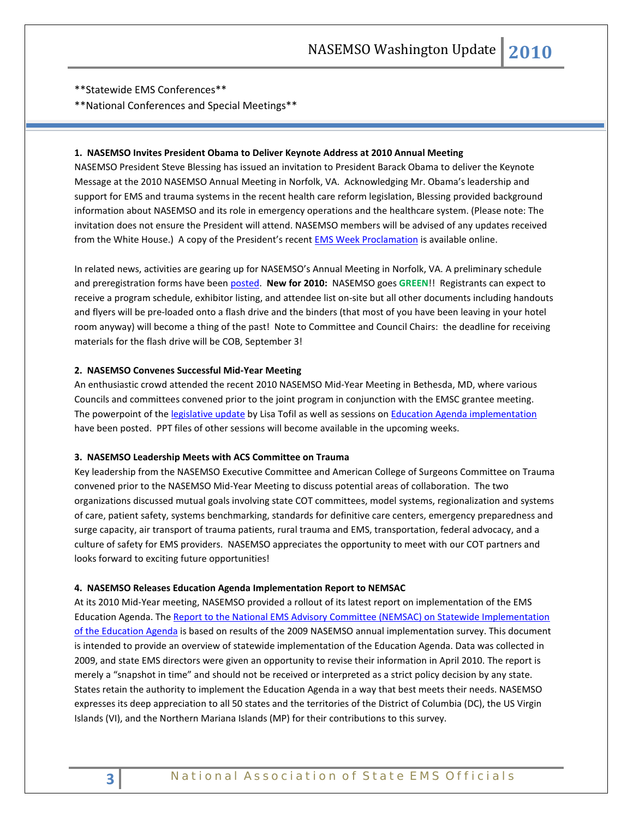\*\*Statewide EMS Conferences\*\*

\*\*National Conferences and Special Meetings\*\*

# **1. NASEMSO Invites President Obama to Deliver Keynote Address at 2010 Annual Meeting**

NASEMSO President Steve Blessing has issued an invitation to President Barack Obama to deliver the Keynote Message at the 2010 NASEMSO Annual Meeting in Norfolk, VA. Acknowledging Mr. Obama's leadership and support for EMS and trauma systems in the recent health care reform legislation, Blessing provided background information about NASEMSO and its role in emergency operations and the healthcare system. (Please note: The invitation does not ensure the President will attend. NASEMSO members will be advised of any updates received from the White House.) A copy of the President's recen[t EMS Week Proclamation](http://www.whitehouse.gov/the-press-office/presidential-proclamation-emergency-medical-services-week-2010) is available online.

In related news, activities are gearing up for NASEMSO's Annual Meeting in Norfolk, VA. A preliminary schedule and preregistration forms have been [posted.](http://www.nasemso.org/Meetings/Annual/index.asp) **New for 2010:** NASEMSO goes **GREEN**!! Registrants can expect to receive a program schedule, exhibitor listing, and attendee list on-site but all other documents including handouts and flyers will be pre-loaded onto a flash drive and the binders (that most of you have been leaving in your hotel room anyway) will become a thing of the past! Note to Committee and Council Chairs: the deadline for receiving materials for the flash drive will be COB, September 3!

### **2. NASEMSO Convenes Successful Mid-Year Meeting**

An enthusiastic crowd attended the recent 2010 NASEMSO Mid-Year Meeting in Bethesda, MD, where various Councils and committees convened prior to the joint program in conjunction with the EMSC grantee meeting. The powerpoint of th[e legislative update](http://www.nasemso.org/Projects/AirMedical/documents/TofilMid-Year2010NASEMSOPresentation.pdf) by Lisa Tofil as well as sessions o[n Education Agenda implementation](http://www.nasemso.org/EMSEducationImplementationPlanning/documents/Manz-Wagoner2010MYMeetingPresentation.pdf) have been posted. PPT files of other sessions will become available in the upcoming weeks.

#### **3. NASEMSO Leadership Meets with ACS Committee on Trauma**

Key leadership from the NASEMSO Executive Committee and American College of Surgeons Committee on Trauma convened prior to the NASEMSO Mid-Year Meeting to discuss potential areas of collaboration. The two organizations discussed mutual goals involving state COT committees, model systems, regionalization and systems of care, patient safety, systems benchmarking, standards for definitive care centers, emergency preparedness and surge capacity, air transport of trauma patients, rural trauma and EMS, transportation, federal advocacy, and a culture of safety for EMS providers. NASEMSO appreciates the opportunity to meet with our COT partners and looks forward to exciting future opportunities!

#### **4. NASEMSO Releases Education Agenda Implementation Report to NEMSAC**

At its 2010 Mid-Year meeting, NASEMSO provided a rollout of its latest report on implementation of the EMS Education Agenda. The [Report to the National EMS Advisory Committee \(NEMSAC\) on Statewide Implementation](http://www.nasemso.org/EMSEducationImplementationPlanning/documents/ImplementingtheEMSEducationAgendaReporttoNEMSAC-May25_2010FINAL.pdf)  [of the Education Agenda](http://www.nasemso.org/EMSEducationImplementationPlanning/documents/ImplementingtheEMSEducationAgendaReporttoNEMSAC-May25_2010FINAL.pdf) is based on results of the 2009 NASEMSO annual implementation survey. This document is intended to provide an overview of statewide implementation of the Education Agenda. Data was collected in 2009, and state EMS directors were given an opportunity to revise their information in April 2010. The report is merely a "snapshot in time" and should not be received or interpreted as a strict policy decision by any state. States retain the authority to implement the Education Agenda in a way that best meets their needs. NASEMSO expresses its deep appreciation to all 50 states and the territories of the District of Columbia (DC), the US Virgin Islands (VI), and the Northern Mariana Islands (MP) for their contributions to this survey.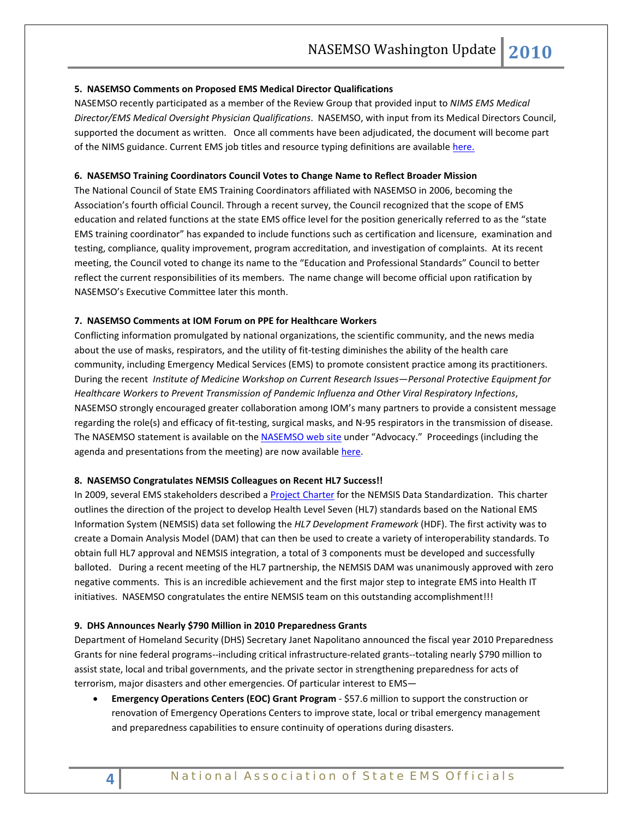### **5. NASEMSO Comments on Proposed EMS Medical Director Qualifications**

NASEMSO recently participated as a member of the Review Group that provided input to *NIMS EMS Medical Director/EMS Medical Oversight Physician Qualifications*. NASEMSO, with input from its Medical Directors Council, supported the document as written. Once all comments have been adjudicated, the document will become part of the NIMS guidance. Current EMS job titles and resource typing definitions are available [here.](http://www.fema.gov/emergency/nims/ResourceMngmnt.shtm)

### **6. NASEMSO Training Coordinators Council Votes to Change Name to Reflect Broader Mission**

The National Council of State EMS Training Coordinators affiliated with NASEMSO in 2006, becoming the Association's fourth official Council. Through a recent survey, the Council recognized that the scope of EMS education and related functions at the state EMS office level for the position generically referred to as the "state EMS training coordinator" has expanded to include functions such as certification and licensure, examination and testing, compliance, quality improvement, program accreditation, and investigation of complaints. At its recent meeting, the Council voted to change its name to the "Education and Professional Standards" Council to better reflect the current responsibilities of its members. The name change will become official upon ratification by NASEMSO's Executive Committee later this month.

### **7. NASEMSO Comments at IOM Forum on PPE for Healthcare Workers**

Conflicting information promulgated by national organizations, the scientific community, and the news media about the use of masks, respirators, and the utility of fit-testing diminishes the ability of the health care community, including Emergency Medical Services (EMS) to promote consistent practice among its practitioners. During the recent *Institute of Medicine Workshop on Current Research Issues—Personal Protective Equipment for Healthcare Workers to Prevent Transmission of Pandemic Influenza and Other Viral Respiratory Infections*, NASEMSO strongly encouraged greater collaboration among IOM's many partners to provide a consistent message regarding the role(s) and efficacy of fit-testing, surgical masks, and N-95 respirators in the transmission of disease. The NASEMSO statement is available on th[e NASEMSO web site](http://www.nasemso.org/) under "Advocacy." Proceedings (including the agenda and presentations from the meeting) are now availabl[e here.](http://www.iom.edu/Activities/PublicHealth/PPECurrentResearch/2010-JUN-03.aspx)

#### **8. NASEMSO Congratulates NEMSIS Colleagues on Recent HL7 Success!!**

In 2009, several EMS stakeholders described a [Project Charter](http://wiki.hl7.org/images/0/0f/EMS_DAM_Charter_posted.pdf) for the NEMSIS Data Standardization. This charter outlines the direction of the project to develop Health Level Seven (HL7) standards based on the National EMS Information System (NEMSIS) data set following the *HL7 Development Framework* (HDF). The first activity was to create a Domain Analysis Model (DAM) that can then be used to create a variety of interoperability standards. To obtain full HL7 approval and NEMSIS integration, a total of 3 components must be developed and successfully balloted. During a recent meeting of the HL7 partnership, the NEMSIS DAM was unanimously approved with zero negative comments. This is an incredible achievement and the first major step to integrate EMS into Health IT initiatives. NASEMSO congratulates the entire NEMSIS team on this outstanding accomplishment!!!

#### **9. DHS Announces Nearly \$790 Million in 2010 Preparedness Grants**

Department of Homeland Security (DHS) Secretary Janet Napolitano announced the fiscal year 2010 Preparedness Grants for nine federal programs--including critical infrastructure-related grants--totaling nearly \$790 million to assist state, local and tribal governments, and the private sector in strengthening preparedness for acts of terrorism, major disasters and other emergencies. Of particular interest to EMS—

• **Emergency Operations Centers (EOC) Grant Program** - \$57.6 million to support the construction or renovation of Emergency Operations Centers to improve state, local or tribal emergency management and preparedness capabilities to ensure continuity of operations during disasters.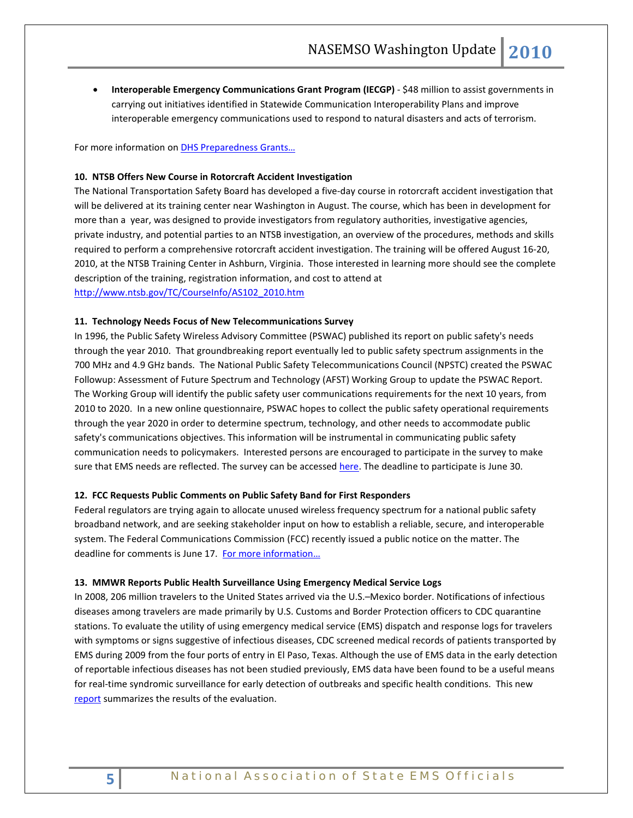• **Interoperable Emergency Communications Grant Program (IECGP)** - \$48 million to assist governments in carrying out initiatives identified in Statewide Communication Interoperability Plans and improve interoperable emergency communications used to respond to natural disasters and acts of terrorism.

For more information on **DHS Preparedness Grants...** 

### **10. NTSB Offers New Course in Rotorcraft Accident Investigation**

The National Transportation Safety Board has developed a five-day course in rotorcraft accident investigation that will be delivered at its training center near Washington in August. The course, which has been in development for more than a year, was designed to provide investigators from regulatory authorities, investigative agencies, private industry, and potential parties to an NTSB investigation, an overview of the procedures, methods and skills required to perform a comprehensive rotorcraft accident investigation. The training will be offered August 16-20, 2010, at the NTSB Training Center in Ashburn, Virginia. Those interested in learning more should see the complete description of the training, registration information, and cost to attend at [http://www.ntsb.gov/TC/CourseInfo/AS102\\_2010.htm](http://www.ntsb.gov/TC/CourseInfo/AS102_2010.htm)

### **11. Technology Needs Focus of New Telecommunications Survey**

In 1996, the Public Safety Wireless Advisory Committee (PSWAC) published its report on public safety's needs through the year 2010. That groundbreaking report eventually led to public safety spectrum assignments in the 700 MHz and 4.9 GHz bands. The National Public Safety Telecommunications Council (NPSTC) created the PSWAC Followup: Assessment of Future Spectrum and Technology (AFST) Working Group to update the PSWAC Report. The Working Group will identify the public safety user communications requirements for the next 10 years, from 2010 to 2020. In a new online questionnaire, PSWAC hopes to collect the public safety operational requirements through the year 2020 in order to determine spectrum, technology, and other needs to accommodate public safety's communications objectives. This information will be instrumental in communicating public safety communication needs to policymakers. Interested persons are encouraged to participate in the survey to make sure that EMS needs are reflected. The survey can be accesse[d here.](http://www.stellarsurvey.com/s.aspx?u=20C944EA-ED31-4006-A023-C6F464F2EB8F) The deadline to participate is June 30.

#### **12. FCC Requests Public Comments on Public Safety Band for First Responders**

Federal regulators are trying again to allocate unused wireless frequency spectrum for a national public safety broadband network, and are seeking stakeholder input on how to establish a reliable, secure, and interoperable system. The Federal Communications Commission (FCC) recently issued a public notice on the matter. The deadline for comments is June 17. For more information...

#### **13. MMWR Reports Public Health Surveillance Using Emergency Medical Service Logs**

In 2008, 206 million travelers to the United States arrived via the U.S.–Mexico border. Notifications of infectious diseases among travelers are made primarily by U.S. Customs and Border Protection officers to CDC quarantine stations. To evaluate the utility of using emergency medical service (EMS) dispatch and response logs for travelers with symptoms or signs suggestive of infectious diseases, CDC screened medical records of patients transported by EMS during 2009 from the four ports of entry in El Paso, Texas. Although the use of EMS data in the early detection of reportable infectious diseases has not been studied previously, EMS data have been found to be a useful means for real-time syndromic surveillance for early detection of outbreaks and specific health conditions. This new [report](http://www.cdc.gov/mmwr/preview/mmwrhtml/mm5921a1.htm) summarizes the results of the evaluation.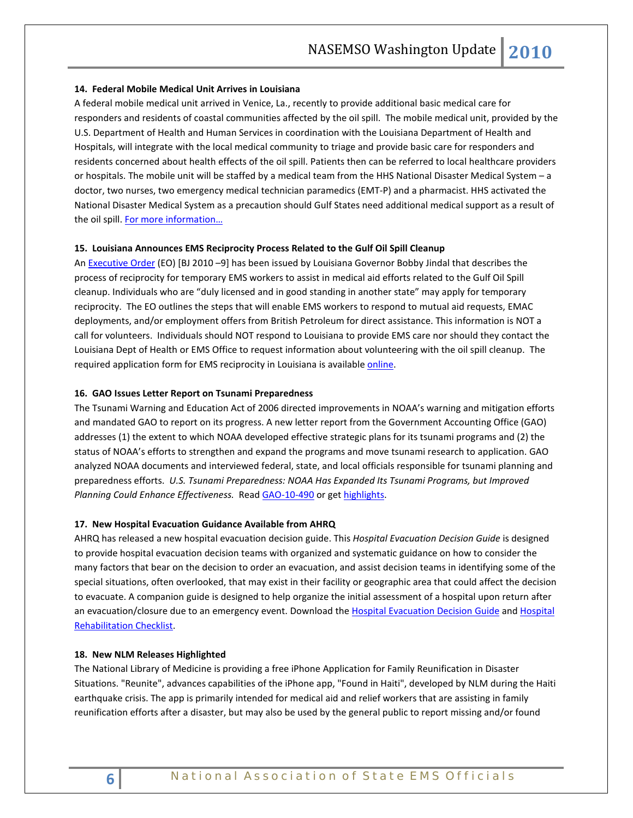### **14. Federal Mobile Medical Unit Arrives in Louisiana**

A federal mobile medical unit arrived in Venice, La., recently to provide additional basic medical care for responders and residents of coastal communities affected by the oil spill. The mobile medical unit, provided by the U.S. Department of Health and Human Services in coordination with the Louisiana Department of Health and Hospitals, will integrate with the local medical community to triage and provide basic care for responders and residents concerned about health effects of the oil spill. Patients then can be referred to local healthcare providers or hospitals. The mobile unit will be staffed by a medical team from the HHS National Disaster Medical System – a doctor, two nurses, two emergency medical technician paramedics (EMT-P) and a pharmacist. HHS activated the National Disaster Medical System as a precaution should Gulf States need additional medical support as a result of the oil spill. For more information...

### **15. Louisiana Announces EMS Reciprocity Process Related to the Gulf Oil Spill Cleanup**

An [Executive Order](http://www.gov.state.la.us/assets/docs/2010%20BJ%209%20EO%20Oil%20Spill%20Temporary%20EMTs.pdf) (EO) [BJ 2010 –9] has been issued by Louisiana Governor Bobby Jindal that describes the process of reciprocity for temporary EMS workers to assist in medical aid efforts related to the Gulf Oil Spill cleanup. Individuals who are "duly licensed and in good standing in another state" may apply for temporary reciprocity. The EO outlines the steps that will enable EMS workers to respond to mutual aid requests, EMAC deployments, and/or employment offers from British Petroleum for direct assistance. This information is NOT a call for volunteers. Individuals should NOT respond to Louisiana to provide EMS care nor should they contact the Louisiana Dept of Health or EMS Office to request information about volunteering with the oil spill cleanup. The required application form for EMS reciprocity in Louisiana is availabl[e online.](http://www.dhh.louisiana.gov/offices/publications.asp?ID=220&Detail=1253)

### **16. GAO Issues Letter Report on Tsunami Preparedness**

The Tsunami Warning and Education Act of 2006 directed improvements in NOAA's warning and mitigation efforts and mandated GAO to report on its progress. A new letter report from the Government Accounting Office (GAO) addresses (1) the extent to which NOAA developed effective strategic plans for its tsunami programs and (2) the status of NOAA's efforts to strengthen and expand the programs and move tsunami research to application. GAO analyzed NOAA documents and interviewed federal, state, and local officials responsible for tsunami planning and preparedness efforts. *U.S. Tsunami Preparedness: NOAA Has Expanded Its Tsunami Programs, but Improved Planning Could Enhance Effectiveness.* Read [GAO-10-490](http://www.gao.gov/cgi-bin/getrpt?GAO-10-490) or ge[t highlights.](http://www.gao.gov/highlights/d10490high.pdf)

### **17. New Hospital Evacuation Guidance Available from AHRQ**

AHRQ has released a new hospital evacuation decision guide. This *Hospital Evacuation Decision Guide* is designed to provide hospital evacuation decision teams with organized and systematic guidance on how to consider the many factors that bear on the decision to order an evacuation, and assist decision teams in identifying some of the special situations, often overlooked, that may exist in their facility or geographic area that could affect the decision to evacuate. A companion guide is designed to help organize the initial assessment of a hospital upon return after an evacuation/closure due to an emergency event. Download th[e Hospital Evacuation Decision Guide](http://www.ahrq.gov/prep/hospevacguide/) and Hospital [Rehabilitation Checklist.](http://www.ahrq.gov/prep/hosprecovery/)

### **18. New NLM Releases Highlighted**

The National Library of Medicine is providing a free iPhone Application for Family Reunification in Disaster Situations. "Reunite", advances capabilities of the iPhone app, "Found in Haiti", developed by NLM during the Haiti earthquake crisis. The app is primarily intended for medical aid and relief workers that are assisting in family reunification efforts after a disaster, but may also be used by the general public to report missing and/or found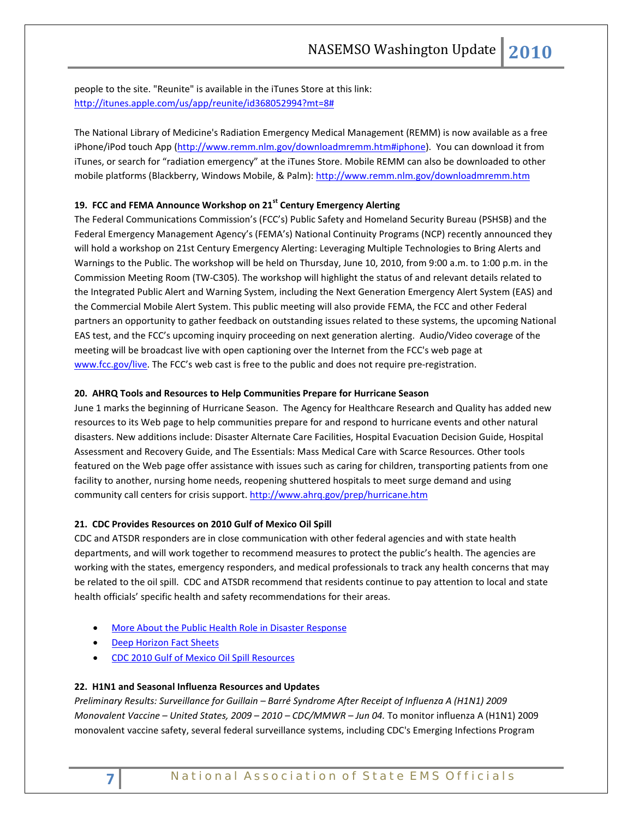people to the site. "Reunite" is available in the iTunes Store at this link: [http://itunes.apple.com/us/app/reunite/id368052994?mt=8#](http://itunes.apple.com/us/app/reunite/id368052994?mt=8)

The National Library of Medicine's Radiation Emergency Medical Management (REMM) is now available as a free iPhone/iPod touch App [\(http://www.remm.nlm.gov/downloadmremm.htm#iphone\)](http://www.remm.nlm.gov/downloadmremm.htm#iphone). You can download it from iTunes, or search for "radiation emergency" at the iTunes Store. Mobile REMM can also be downloaded to other mobile platforms (Blackberry, Windows Mobile, & Palm):<http://www.remm.nlm.gov/downloadmremm.htm>

# **19. FCC and FEMA Announce Workshop on 21st Century Emergency Alerting**

The Federal Communications Commission's (FCC's) Public Safety and Homeland Security Bureau (PSHSB) and the Federal Emergency Management Agency's (FEMA's) National Continuity Programs (NCP) recently announced they will hold a workshop on 21st Century Emergency Alerting: Leveraging Multiple Technologies to Bring Alerts and Warnings to the Public. The workshop will be held on Thursday, June 10, 2010, from 9:00 a.m. to 1:00 p.m. in the Commission Meeting Room (TW-C305). The workshop will highlight the status of and relevant details related to the Integrated Public Alert and Warning System, including the Next Generation Emergency Alert System (EAS) and the Commercial Mobile Alert System. This public meeting will also provide FEMA, the FCC and other Federal partners an opportunity to gather feedback on outstanding issues related to these systems, the upcoming National EAS test, and the FCC's upcoming inquiry proceeding on next generation alerting. Audio/Video coverage of the meeting will be broadcast live with open captioning over the Internet from the FCC's web page at [www.fcc.gov/live.](http://www.fcc.gov/live) The FCC's web cast is free to the public and does not require pre-registration.

### **20. AHRQ Tools and Resources to Help Communities Prepare for Hurricane Season**

June 1 marks the beginning of Hurricane Season. The Agency for Healthcare Research and Quality has added new resources to its Web page to help communities prepare for and respond to hurricane events and other natural disasters. New additions include: Disaster Alternate Care Facilities, Hospital Evacuation Decision Guide, Hospital Assessment and Recovery Guide, and The Essentials: Mass Medical Care with Scarce Resources. Other tools featured on the Web page offer assistance with issues such as caring for children, transporting patients from one facility to another, nursing home needs, reopening shuttered hospitals to meet surge demand and using community call centers for crisis support.<http://www.ahrq.gov/prep/hurricane.htm>

### **21. CDC Provides Resources on 2010 Gulf of Mexico Oil Spill**

CDC and ATSDR responders are in close communication with other federal agencies and with state health departments, and will work together to recommend measures to protect the public's health. The agencies are working with the states, emergency responders, and medical professionals to track any health concerns that may be related to the oil spill. CDC and ATSDR recommend that residents continue to pay attention to local and state health officials' specific health and safety recommendations for their areas.

- [More About the Public Health Role in Disaster Response](http://www.cdc.gov/nceh/oil_spill/overview.htm?s_cid=ccu060710_002)
- **[Deep Horizon Fact Sheets](http://www.deepwaterhorizonresponse.com/go/doctype/2931/53023/)**
- [CDC 2010 Gulf of Mexico Oil Spill Resources](http://emergency.cdc.gov/gulfoilspill2010/index.asp)

# **22. H1N1 and Seasonal Influenza Resources and Updates**

*Preliminary Results: Surveillance for Guillain – Barré Syndrome After Receipt of Influenza A (H1N1) 2009 Monovalent Vaccine – United States, 2009 – 2010 – CDC/MMWR – Jun 04.* To monitor influenza A (H1N1) 2009 monovalent vaccine safety, several federal surveillance systems, including CDC's Emerging Infections Program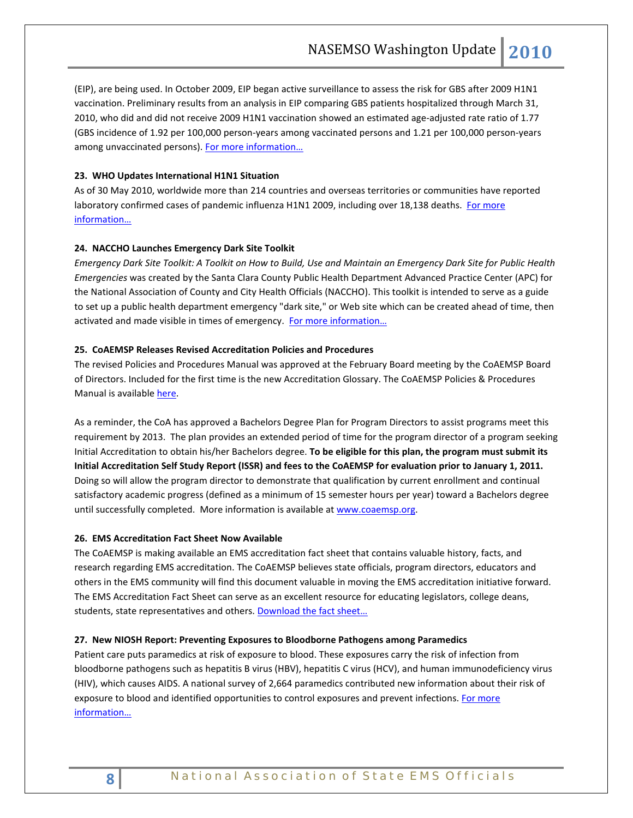(EIP), are being used. In October 2009, EIP began active surveillance to assess the risk for GBS after 2009 H1N1 vaccination. Preliminary results from an analysis in EIP comparing GBS patients hospitalized through March 31, 2010, who did and did not receive 2009 H1N1 vaccination showed an estimated age-adjusted rate ratio of 1.77 (GBS incidence of 1.92 per 100,000 person-years among vaccinated persons and 1.21 per 100,000 person-years among unvaccinated persons). For more information...

# **23. WHO Updates International H1N1 Situation**

As of 30 May 2010, worldwide more than 214 countries and overseas territories or communities have reported laboratory confirmed cases of pandemic influenza H1N1 2009, including over 18,138 deaths. For more [information…](http://www.who.int/csr/don/2010_06_04/en/index.html)

# **24. NACCHO Launches Emergency Dark Site Toolkit**

*Emergency Dark Site Toolkit: A Toolkit on How to Build, Use and Maintain an Emergency Dark Site for Public Health Emergencies* was created by the Santa Clara County Public Health Department Advanced Practice Center (APC) for the National Association of County and City Health Officials (NACCHO). This toolkit is intended to serve as a guide to set up a public health department emergency "dark site," or Web site which can be created ahead of time, then activated and made visible in times of emergency. [For more information…](http://www.sccgov.org/SCC/docs/Public%20Health%20Department%20%28DEP%29/apc/emergency-dark-site/index.html)

### **25. CoAEMSP Releases Revised Accreditation Policies and Procedures**

The revised Policies and Procedures Manual was approved at the February Board meeting by the CoAEMSP Board of Directors. Included for the first time is the new Accreditation Glossary. The CoAEMSP Policies & Procedures Manual is available [here.](http://r20.rs6.net/tn.jsp?et=1103384954649&s=1704&e=001PZWp7Vy0dH9lqFh9n5qmDv0gwwNX_r6pYG_tfaRtL_45eQXsHUMzaZVpZ1Utn7lef6Kmi1mI7gcF-oPuYjNxXj06nWDNG8NdkS-joQKJkYvVduCTsgiJTyi1ZmhvTML5B7rJU3HdYufUaUVw0d1XM6q2y4HBgzjd)

As a reminder, the CoA has approved a Bachelors Degree Plan for Program Directors to assist programs meet this requirement by 2013. The plan provides an extended period of time for the program director of a program seeking Initial Accreditation to obtain his/her Bachelors degree. **To be eligible for this plan, the program must submit its Initial Accreditation Self Study Report (ISSR) and fees to the CoAEMSP for evaluation prior to January 1, 2011.**  Doing so will allow the program director to demonstrate that qualification by current enrollment and continual satisfactory academic progress (defined as a minimum of 15 semester hours per year) toward a Bachelors degree until successfully completed. More information is available a[t www.coaemsp.org.](http://www.coaemsp.org/)

### **26. EMS Accreditation Fact Sheet Now Available**

The CoAEMSP is making available an EMS accreditation fact sheet that contains valuable history, facts, and research regarding EMS accreditation. The CoAEMSP believes state officials, program directors, educators and others in the EMS community will find this document valuable in moving the EMS accreditation initiative forward. The EMS Accreditation Fact Sheet can serve as an excellent resource for educating legislators, college deans, students, state representatives and others. Download the fact sheet...

### **27. New NIOSH Report: Preventing Exposures to Bloodborne Pathogens among Paramedics**

Patient care puts paramedics at risk of exposure to blood. These exposures carry the risk of infection from bloodborne pathogens such as hepatitis B virus (HBV), hepatitis C virus (HCV), and human immunodeficiency virus (HIV), which causes AIDS. A national survey of 2,664 paramedics contributed new information about their risk of exposure to blood and identified opportunities to control exposures and prevent infections. [For more](http://www.cdc.gov/niosh/docs/wp-solutions/2010-139/)  [information…](http://www.cdc.gov/niosh/docs/wp-solutions/2010-139/)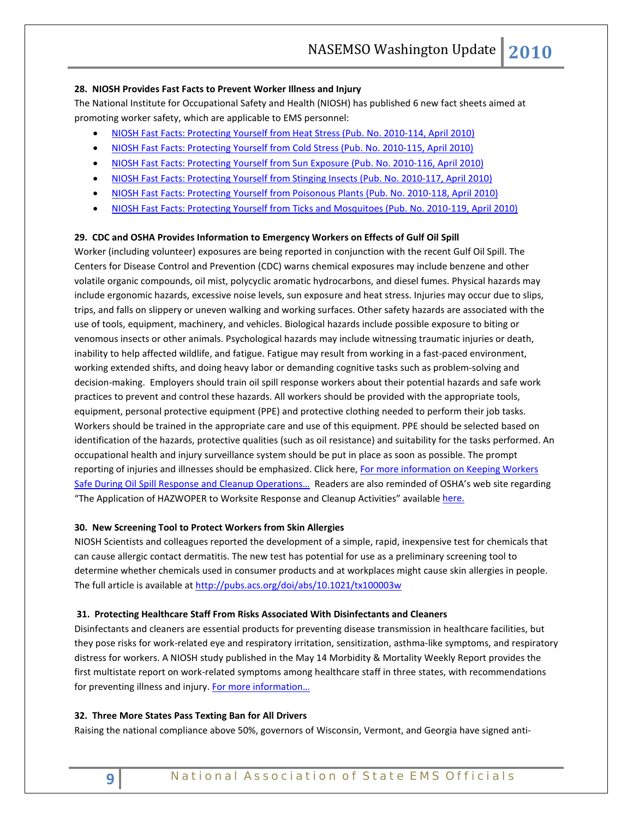### **28. NIOSH Provides Fast Facts to Prevent Worker Illness and Injury**

The National Institute for Occupational Safety and Health (NIOSH) has published 6 new fact sheets aimed at promoting worker safety, which are applicable to EMS personnel:

- [NIOSH Fast Facts: Protecting Yourself from Heat Stress \(Pub. No. 2010-114, April 2010\)](http://www.cdc.gov/niosh/docs/2010-114/)
- [NIOSH Fast Facts: Protecting Yourself from Cold Stress \(Pub. No. 2010-115, April 2010\)](http://www.cdc.gov/niosh/docs/2010-115/)
- [NIOSH Fast Facts: Protecting Yourself from Sun Exposure \(Pub. No. 2010-116, April 2010\)](http://www.cdc.gov/niosh/docs/2010-116/)
- [NIOSH Fast Facts: Protecting Yourself from Stinging Insects \(Pub. No. 2010-117, April 2010\)](http://www.cdc.gov/niosh/docs/2010-117/)
- [NIOSH Fast Facts: Protecting Yourself from Poisonous Plants \(Pub. No. 2010-118, April 2010\)](http://www.cdc.gov/niosh/docs/2010-118/)
- [NIOSH Fast Facts: Protecting Yourself from Ticks and Mosquitoes \(Pub. No. 2010-119, April 2010\)](http://www.cdc.gov/niosh/docs/2010-119/)

### **29. CDC and OSHA Provides Information to Emergency Workers on Effects of Gulf Oil Spill**

Worker (including volunteer) exposures are being reported in conjunction with the recent Gulf Oil Spill. The Centers for Disease Control and Prevention (CDC) warns chemical exposures may include benzene and other volatile organic compounds, oil mist, polycyclic aromatic hydrocarbons, and diesel fumes. Physical hazards may include ergonomic hazards, excessive noise levels, sun exposure and heat stress. Injuries may occur due to slips, trips, and falls on slippery or uneven walking and working surfaces. Other safety hazards are associated with the use of tools, equipment, machinery, and vehicles. Biological hazards include possible exposure to biting or venomous insects or other animals. Psychological hazards may include witnessing traumatic injuries or death, inability to help affected wildlife, and fatigue. Fatigue may result from working in a fast-paced environment, working extended shifts, and doing heavy labor or demanding cognitive tasks such as problem-solving and decision-making. Employers should train oil spill response workers about their potential hazards and safe work practices to prevent and control these hazards. All workers should be provided with the appropriate tools, equipment, personal protective equipment (PPE) and protective clothing needed to perform their job tasks. Workers should be trained in the appropriate care and use of this equipment. PPE should be selected based on identification of the hazards, protective qualities (such as oil resistance) and suitability for the tasks performed. An occupational health and injury surveillance system should be put in place as soon as possible. The prompt reporting of injuries and illnesses should be emphasized. Click here, For more information on Keeping Workers [Safe During Oil Spill Response and Cleanup Operations…](http://www.osha.gov/oilspills/index.html) Readers are also reminded of OSHA's web site regarding "The Application of HAZWOPER to Worksite Response and Cleanup Activities" available [here.](http://www.osha.gov/dep/ohe/application_worksiteresponse.html)

### **30. New Screening Tool to Protect Workers from Skin Allergies**

NIOSH Scientists and colleagues reported the development of a simple, rapid, inexpensive test for chemicals that can cause allergic contact dermatitis. The new test has potential for use as a preliminary screening tool to determine whether chemicals used in consumer products and at workplaces might cause skin allergies in people. The full article is available at<http://pubs.acs.org/doi/abs/10.1021/tx100003w>

### **31. Protecting Healthcare Staff From Risks Associated With Disinfectants and Cleaners**

Disinfectants and cleaners are essential products for preventing disease transmission in healthcare facilities, but they pose risks for work-related eye and respiratory irritation, sensitization, asthma-like symptoms, and respiratory distress for workers. A NIOSH study published in the May 14 Morbidity & Mortality Weekly Report provides the first multistate report on work-related symptoms among healthcare staff in three states, with recommendations for preventing illness and injury. For more information...

### **32. Three More States Pass Texting Ban for All Drivers**

Raising the national compliance above 50%, governors of Wisconsin, Vermont, and Georgia have signed anti-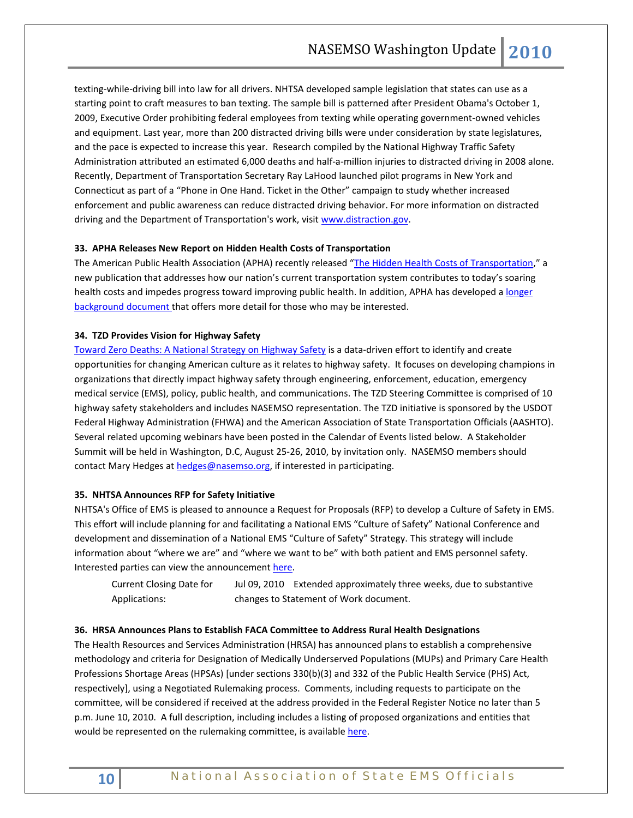texting-while-driving bill into law for all drivers. NHTSA developed sample legislation that states can use as a starting point to craft measures to ban texting. The sample bill is patterned after President Obama's October 1, 2009, Executive Order prohibiting federal employees from texting while operating government-owned vehicles and equipment. Last year, more than 200 distracted driving bills were under consideration by state legislatures, and the pace is expected to increase this year. Research compiled by the National Highway Traffic Safety Administration attributed an estimated 6,000 deaths and half-a-million injuries to distracted driving in 2008 alone. Recently, Department of Transportation Secretary Ray LaHood launched pilot programs in New York and Connecticut as part of a "Phone in One Hand. Ticket in the Other" campaign to study whether increased enforcement and public awareness can reduce distracted driving behavior. For more information on distracted driving and the Department of Transportation's work, visi[t www.distraction.gov.](http://links.govdelivery.com/track?type=click&enid=bWFpbGluZ2lkPTgxMzIxMSZtZXNzYWdlaWQ9UFJELUJVTC04MTMyMTEmZGF0YWJhc2VpZD0xMDAxJnNlcmlhbD0xMjE1NzY3OTE2JmVtYWlsaWQ9cm9iaW5zb25AbmFzZW1zby5vcmcmdXNlcmlkPXJvYmluc29uQG5hc2Vtc28ub3JnJmV4dHJhPSYmJg==&&&100&&&http://www.distraction.gov)

### **33. APHA Releases New Report on Hidden Health Costs of Transportation**

The American Public Health Association (APHA) recently released ["The Hidden Health Costs of Transportation,](http://www.apha.org/NR/rdonlyres/F84640FD-13CF-47EA-8267-E767A1099239/0/HiddenHealthCostsofTransportationShortFinal.pdf)" a new publication that addresses how our nation's current transportation system contributes to today's soaring health costs and impedes progress toward improving public health. In addition, APHA has developed a longer [background document t](http://www.apha.org/NR/rdonlyres/B96B32A2-FA00-4D79-99AB-F0446C63B254/0/TheHiddenHealthCostsofTransportationBackgrounder.pdf)hat offers more detail for those who may be interested.

### **34. TZD Provides Vision for Highway Safety**

[Toward Zero Deaths: A National Strategy on Highway Safety](http://safety.transportation.org/activities.aspx) is a data-driven effort to identify and create opportunities for changing American culture as it relates to highway safety. It focuses on developing champions in organizations that directly impact highway safety through engineering, enforcement, education, emergency medical service (EMS), policy, public health, and communications. The TZD Steering Committee is comprised of 10 highway safety stakeholders and includes NASEMSO representation. The TZD initiative is sponsored by the USDOT Federal Highway Administration (FHWA) and the American Association of State Transportation Officials (AASHTO). Several related upcoming webinars have been posted in the Calendar of Events listed below. A Stakeholder Summit will be held in Washington, D.C, August 25-26, 2010, by invitation only. NASEMSO members should contact Mary Hedges at [hedges@nasemso.org,](mailto:hedges@nasemso.org) if interested in participating.

### **35. NHTSA Announces RFP for Safety Initiative**

NHTSA's Office of EMS is pleased to announce a Request for Proposals (RFP) to develop a Culture of Safety in EMS. This effort will include planning for and facilitating a National EMS "Culture of Safety" National Conference and development and dissemination of a National EMS "Culture of Safety" Strategy. This strategy will include information about "where we are" and "where we want to be" with both patient and EMS personnel safety. Interested parties can view the announcement [here.](http://www.grants.gov/search/search.do;jsessionid=bHJpMFWNTLFjNNJpdQLWGJ1M8JD5JJvT5bfVnjRTJlJjb2J2Wvww!-1506524688?oppId=54701&mode=VIEW)

Current Closing Date for Applications: Jul 09, 2010 Extended approximately three weeks, due to substantive changes to Statement of Work document.

# **36. HRSA Announces Plans to Establish FACA Committee to Address Rural Health Designations**

The Health Resources and Services Administration (HRSA) has announced plans to establish a comprehensive methodology and criteria for Designation of Medically Underserved Populations (MUPs) and Primary Care Health Professions Shortage Areas (HPSAs) [under sections 330(b)(3) and 332 of the Public Health Service (PHS) Act, respectively], using a Negotiated Rulemaking process. Comments, including requests to participate on the committee, will be considered if received at the address provided in the Federal Register Notice no later than 5 p.m. June 10, 2010. A full description, including includes a listing of proposed organizations and entities that would be represented on the rulemaking committee, is availabl[e here.](http://edocket.access.gpo.gov/2010/pdf/2010-11214.pdf)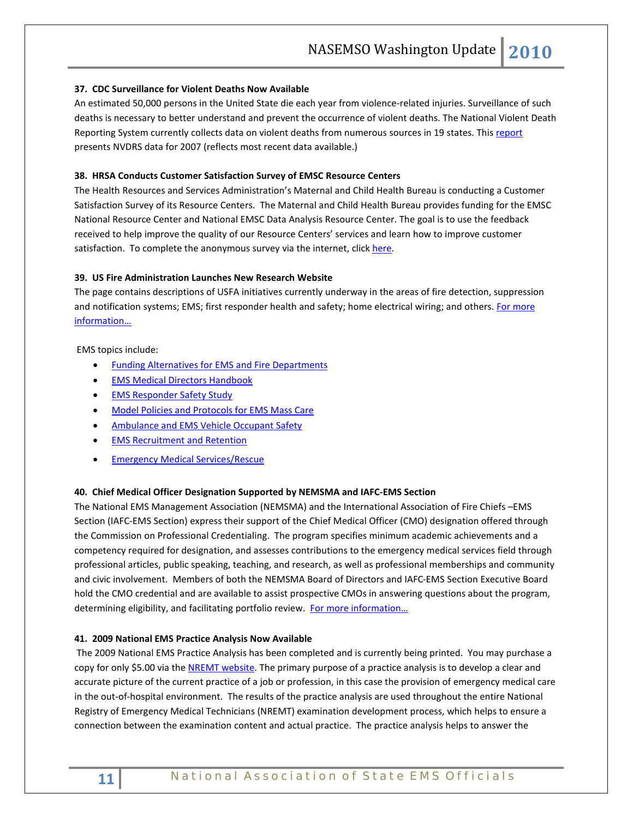### **37. CDC Surveillance for Violent Deaths Now Available**

An estimated 50,000 persons in the United State die each year from violence-related injuries. Surveillance of such deaths is necessary to better understand and prevent the occurrence of violent deaths. The National Violent Death Reporting System currently collects data on violent deaths from numerous sources in 19 states. This [report](http://www.cdc.gov/mmwr/preview/mmwrhtml/ss5904a1.htm?s_cid=ss5904a1_e) presents NVDRS data for 2007 (reflects most recent data available.)

# **38. HRSA Conducts Customer Satisfaction Survey of EMSC Resource Centers**

The Health Resources and Services Administration's Maternal and Child Health Bureau is conducting a Customer Satisfaction Survey of its Resource Centers. The Maternal and Child Health Bureau provides funding for the EMSC National Resource Center and National EMSC Data Analysis Resource Center. The goal is to use the feedback received to help improve the quality of our Resource Centers' services and learn how to improve customer satisfaction. To complete the anonymous survey via the internet, click [here.](https://svy.cfigroup.com/cgi-bin/qwebcorporate.dll?idx=S59BJQ)

# **39. US Fire Administration Launches New Research Website**

The page contains descriptions of USFA initiatives currently underway in the areas of fire detection, suppression and notification systems; EMS; first responder health and safety; home electrical wiring; and others. For more [information…](http://www.usfa.dhs.gov/fireservice/research/index.shtm)

EMS topics include:

- [Funding Alternatives for EMS and Fire Departments](http://www.usfa.dhs.gov/fireservice/research/ems/ems_funding.shtm)
- **[EMS Medical Directors Handbook](http://www.usfa.dhs.gov/fireservice/research/ems/ems_directors_handbook.shtm)**
- [EMS Responder Safety Study](http://www.usfa.dhs.gov/fireservice/research/ems/ems_responder_safety.shtm)
- [Model Policies and Protocols for EMS Mass Care](http://www.usfa.dhs.gov/fireservice/research/ems/ems_mass_care.shtm)
- [Ambulance and EMS Vehicle Occupant Safety](http://www.usfa.dhs.gov/fireservice/research/ems/ems_vehicle_safety.shtm)
- [EMS Recruitment and Retention](http://www.usfa.dhs.gov/fireservice/research/ems/ems_recruitment.shtm)
- **[Emergency Medical Services/Rescue](http://www.usfa.dhs.gov/fireservice/subjects/ems/)**

### **40. Chief Medical Officer Designation Supported by NEMSMA and IAFC-EMS Section**

The National EMS Management Association (NEMSMA) and the International Association of Fire Chiefs –EMS Section (IAFC-EMS Section) express their support of the Chief Medical Officer (CMO) designation offered through the Commission on Professional Credentialing. The program specifies minimum academic achievements and a competency required for designation, and assesses contributions to the emergency medical services field through professional articles, public speaking, teaching, and research, as well as professional memberships and community and civic involvement. Members of both the NEMSMA Board of Directors and IAFC-EMS Section Executive Board hold the CMO credential and are available to assist prospective CMOs in answering questions about the program, determining eligibility, and facilitating portfolio review. For more information...

### **41. 2009 National EMS Practice Analysis Now Available**

The 2009 National EMS Practice Analysis has been completed and is currently being printed. You may purchase a copy for only \$5.00 via the [NREMT website.](http://www.nremt.org/) The primary purpose of a practice analysis is to develop a clear and accurate picture of the current practice of a job or profession, in this case the provision of emergency medical care in the out-of-hospital environment. The results of the practice analysis are used throughout the entire National Registry of Emergency Medical Technicians (NREMT) examination development process, which helps to ensure a connection between the examination content and actual practice. The practice analysis helps to answer the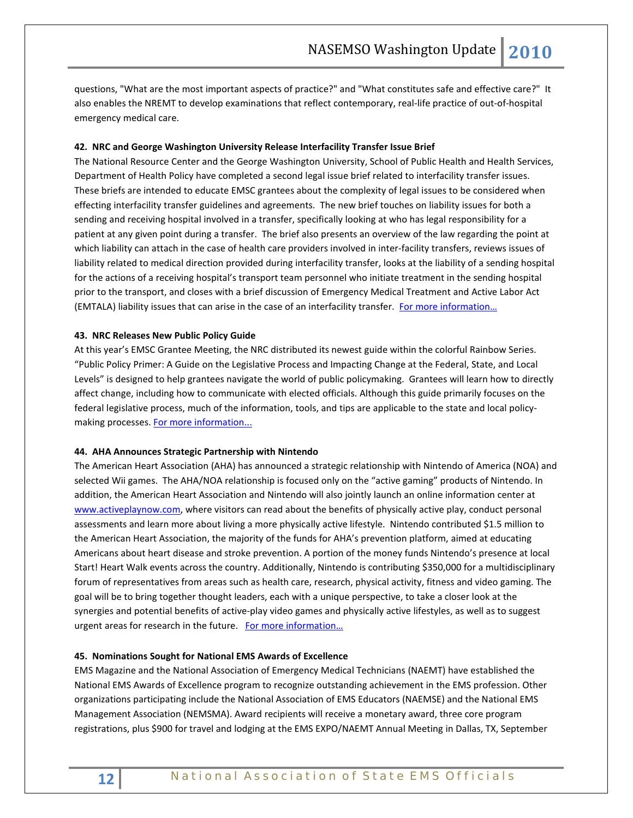questions, "What are the most important aspects of practice?" and "What constitutes safe and effective care?" It also enables the NREMT to develop examinations that reflect contemporary, real-life practice of out-of-hospital emergency medical care.

### **42. NRC and George Washington University Release Interfacility Transfer Issue Brief**

The National Resource Center and the George Washington University, School of Public Health and Health Services, Department of Health Policy have completed a second legal issue brief related to interfacility transfer issues. These briefs are intended to educate EMSC grantees about the complexity of legal issues to be considered when effecting interfacility transfer guidelines and agreements. The new brief touches on liability issues for both a sending and receiving hospital involved in a transfer, specifically looking at who has legal responsibility for a patient at any given point during a transfer. The brief also presents an overview of the law regarding the point at which liability can attach in the case of health care providers involved in inter-facility transfers, reviews issues of liability related to medical direction provided during interfacility transfer, looks at the liability of a sending hospital for the actions of a receiving hospital's transport team personnel who initiate treatment in the sending hospital prior to the transport, and closes with a brief discussion of Emergency Medical Treatment and Active Labor Act (EMTALA) liability issues that can arise in the case of an interfacility transfer. For more information...

### **43. NRC Releases New Public Policy Guide**

At this year's EMSC Grantee Meeting, the NRC distributed its newest guide within the colorful Rainbow Series. "Public Policy Primer: A Guide on the Legislative Process and Impacting Change at the Federal, State, and Local Levels" is designed to help grantees navigate the world of public policymaking. Grantees will learn how to directly affect change, including how to communicate with elected officials. Although this guide primarily focuses on the federal legislative process, much of the information, tools, and tips are applicable to the state and local policy-making processes. [For more information...](http://www.childrensnational.org/files/PDF/EMSC/PubRes/Public_Policy_Guide.pdf)

#### **44. AHA Announces Strategic Partnership with Nintendo**

The American Heart Association (AHA) has announced a strategic relationship with Nintendo of America (NOA) and selected Wii games. The AHA/NOA relationship is focused only on the "active gaming" products of Nintendo. In addition, the American Heart Association and Nintendo will also jointly launch an online information center at [www.activeplaynow.com,](http://www.activeplaynow.com/) where visitors can read about the benefits of physically active play, conduct personal assessments and learn more about living a more physically active lifestyle. Nintendo contributed \$1.5 million to the American Heart Association, the majority of the funds for AHA's prevention platform, aimed at educating Americans about heart disease and stroke prevention. A portion of the money funds Nintendo's presence at local Start! Heart Walk events across the country. Additionally, Nintendo is contributing \$350,000 for a multidisciplinary forum of representatives from areas such as health care, research, physical activity, fitness and video gaming. The goal will be to bring together thought leaders, each with a unique perspective, to take a closer look at the synergies and potential benefits of active-play video games and physically active lifestyles, as well as to suggest urgent areas for research in the future. For more information...

#### **45. Nominations Sought for National EMS Awards of Excellence**

EMS Magazine and the National Association of Emergency Medical Technicians (NAEMT) have established the National EMS Awards of Excellence program to recognize outstanding achievement in the EMS profession. Other organizations participating include the National Association of EMS Educators (NAEMSE) and the National EMS Management Association (NEMSMA). Award recipients will receive a monetary award, three core program registrations, plus \$900 for travel and lodging at the EMS EXPO/NAEMT Annual Meeting in Dallas, TX, September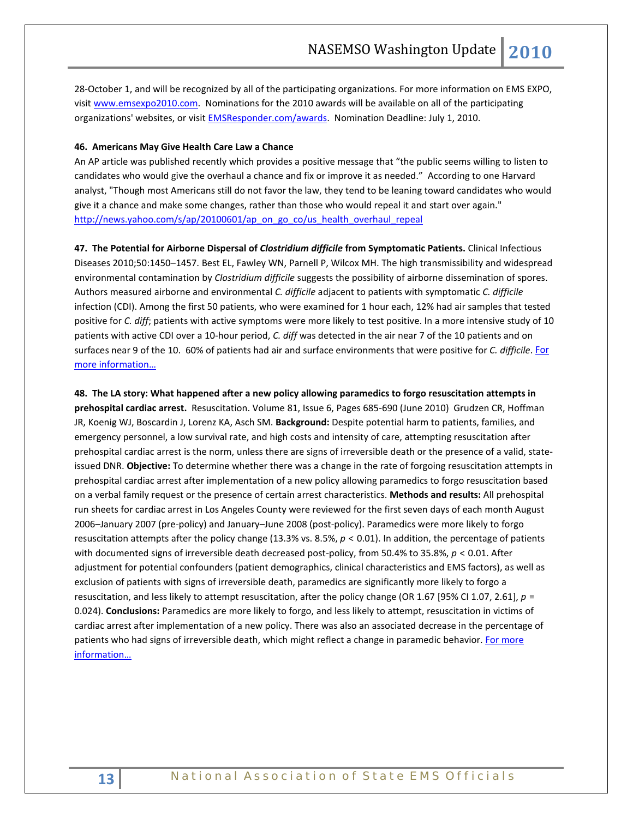28-October 1, and will be recognized by all of the participating organizations. For more information on EMS EXPO, visi[t www.emsexpo2010.com.](http://links.cygnusb2b.com/rmgo.asp?tid=2157536&eid=985&sb_id=493954,493954) Nominations for the 2010 awards will be available on all of the participating organizations' websites, or visit **EMSResponder.com/awards**. Nomination Deadline: July 1, 2010.

### **46. Americans May Give Health Care Law a Chance**

An AP article was published recently which provides a positive message that "the public seems willing to listen to candidates who would give the overhaul a chance and fix or improve it as needed." According to one Harvard analyst, "Though most Americans still do not favor the law, they tend to be leaning toward candidates who would give it a chance and make some changes, rather than those who would repeal it and start over again." [http://news.yahoo.com/s/ap/20100601/ap\\_on\\_go\\_co/us\\_health\\_overhaul\\_repeal](http://news.yahoo.com/s/ap/20100601/ap_on_go_co/us_health_overhaul_repeal)

**47. The Potential for Airborne Dispersal of** *Clostridium difficile* **from Symptomatic Patients.** Clinical Infectious Diseases 2010;50:1450–1457. Best EL, Fawley WN, Parnell P, Wilcox MH. The high transmissibility and widespread environmental contamination by *Clostridium difficile* suggests the possibility of airborne dissemination of spores. Authors measured airborne and environmental *C. difficile* adjacent to patients with symptomatic *C. difficile* infection (CDI). Among the first 50 patients, who were examined for 1 hour each, 12% had air samples that tested positive for *C. diff*; patients with active symptoms were more likely to test positive. In a more intensive study of 10 patients with active CDI over a 10-hour period, *C. diff* was detected in the air near 7 of the 10 patients and on surfaces near 9 of the 10. 60% of patients had air and surface environments that were positive for *C. difficile*. [For](http://www.journals.uchicago.edu/doi/abs/10.1086/652648)  [more information…](http://www.journals.uchicago.edu/doi/abs/10.1086/652648)

**48. The LA story: What happened after a new policy allowing paramedics to forgo resuscitation attempts in prehospital cardiac arrest.** Resuscitation. Volume 81, Issue 6, Pages 685-690 (June 2010) Grudzen CR, Hoffman JR, Koenig WJ, Boscardin J, Lorenz KA, Asch SM. **Background:** Despite potential harm to patients, families, and emergency personnel, a low survival rate, and high costs and intensity of care, attempting resuscitation after prehospital cardiac arrest is the norm, unless there are signs of irreversible death or the presence of a valid, stateissued DNR. **Objective:** To determine whether there was a change in the rate of forgoing resuscitation attempts in prehospital cardiac arrest after implementation of a new policy allowing paramedics to forgo resuscitation based on a verbal family request or the presence of certain arrest characteristics. **Methods and results:** All prehospital run sheets for cardiac arrest in Los Angeles County were reviewed for the first seven days of each month August 2006–January 2007 (pre-policy) and January–June 2008 (post-policy). Paramedics were more likely to forgo resuscitation attempts after the policy change (13.3% vs. 8.5%,  $p < 0.01$ ). In addition, the percentage of patients with documented signs of irreversible death decreased post-policy, from 50.4% to 35.8%, *p* < 0.01. After adjustment for potential confounders (patient demographics, clinical characteristics and EMS factors), as well as exclusion of patients with signs of irreversible death, paramedics are significantly more likely to forgo a resuscitation, and less likely to attempt resuscitation, after the policy change (OR 1.67 [95% CI 1.07, 2.61], *p* = 0.024). **Conclusions:** Paramedics are more likely to forgo, and less likely to attempt, resuscitation in victims of cardiac arrest after implementation of a new policy. There was also an associated decrease in the percentage of patients who had signs of irreversible death, which might reflect a change in paramedic behavior. For more [information…](http://www.resuscitationjournal.com/article/S0300-9572(10)00114-0/abstract)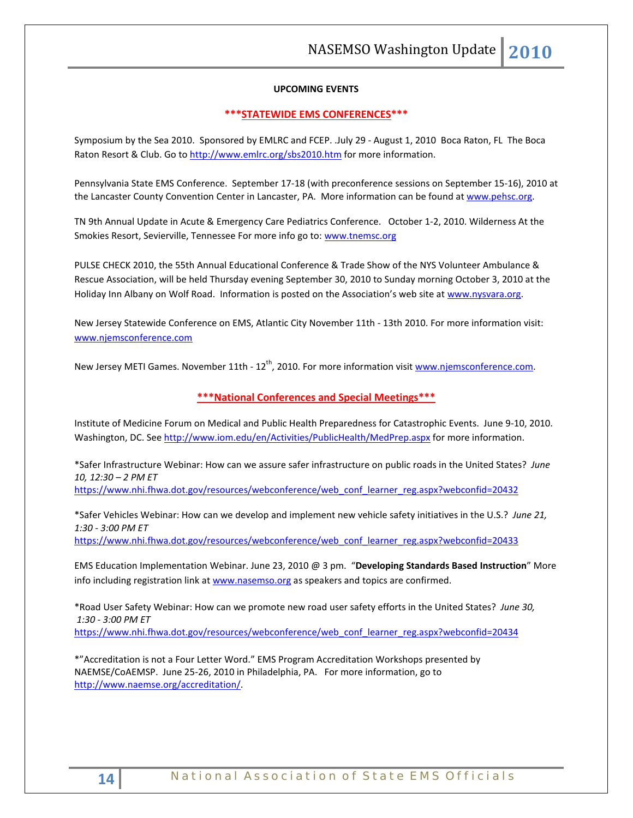## **UPCOMING EVENTS**

### **\*\*\*STATEWIDE EMS CONFERENCES\*\*\***

Symposium by the Sea 2010. Sponsored by EMLRC and FCEP. .July 29 - August 1, 2010 Boca Raton, FL The Boca Raton Resort & Club. Go to<http://www.emlrc.org/sbs2010.htm> for more information.

Pennsylvania State EMS Conference. September 17-18 (with preconference sessions on September 15-16), 2010 at the Lancaster County Convention Center in Lancaster, PA. More information can be found a[t www.pehsc.org.](http://www.pehsc.org/)

TN 9th Annual Update in Acute & Emergency Care Pediatrics Conference. October 1-2, 2010. Wilderness At the Smokies Resort, Sevierville, Tennessee For more info go to: [www.tnemsc.org](http://www.tnemsc.org/)

PULSE CHECK 2010, the 55th Annual Educational Conference & Trade Show of the NYS Volunteer Ambulance & Rescue Association, will be held Thursday evening September 30, 2010 to Sunday morning October 3, 2010 at the Holiday Inn Albany on Wolf Road. Information is posted on the Association's web site at [www.nysvara.org.](http://www.nysvara.org/)

New Jersey Statewide Conference on EMS, Atlantic City November 11th - 13th 2010. For more information visit: [www.njemsconference.com](http://www.njemsconference.com/)

New Jersey METI Games. November 11th - 12<sup>th</sup>, 2010. For more information visit [www.njemsconference.com.](http://www.njemsconference.com/)

# **\*\*\*National Conferences and Special Meetings\*\*\***

Institute of Medicine Forum on Medical and Public Health Preparedness for Catastrophic Events. June 9-10, 2010. Washington, DC. See<http://www.iom.edu/en/Activities/PublicHealth/MedPrep.aspx> for more information.

\*Safer Infrastructure Webinar: How can we assure safer infrastructure on public roads in the United States? *June 10, 12:30 – 2 PM ET* 

[https://www.nhi.fhwa.dot.gov/resources/webconference/web\\_conf\\_learner\\_reg.aspx?webconfid=20432](https://www.nhi.fhwa.dot.gov/resources/webconference/web_conf_learner_reg.aspx?webconfid=20432)

\*Safer Vehicles Webinar: How can we develop and implement new vehicle safety initiatives in the U.S.? *June 21, 1:30 - 3:00 PM ET*

[https://www.nhi.fhwa.dot.gov/resources/webconference/web\\_conf\\_learner\\_reg.aspx?webconfid=20433](https://www.nhi.fhwa.dot.gov/resources/webconference/web_conf_learner_reg.aspx?webconfid=20433)

EMS Education Implementation Webinar. June 23, 2010 @ 3 pm. "**Developing Standards Based Instruction**" More info including registration link a[t www.nasemso.org](http://www.nasemso.org/) as speakers and topics are confirmed.

\*Road User Safety Webinar: How can we promote new road user safety efforts in the United States? *June 30, 1:30 - 3:00 PM ET* [https://www.nhi.fhwa.dot.gov/resources/webconference/web\\_conf\\_learner\\_reg.aspx?webconfid=20434](https://www.nhi.fhwa.dot.gov/resources/webconference/web_conf_learner_reg.aspx?webconfid=20434)

\*"Accreditation is not a Four Letter Word." EMS Program Accreditation Workshops presented by NAEMSE/CoAEMSP. June 25-26, 2010 in Philadelphia, PA. For more information, go to [http://www.naemse.org/accreditation/.](http://www.naemse.org/accreditation/)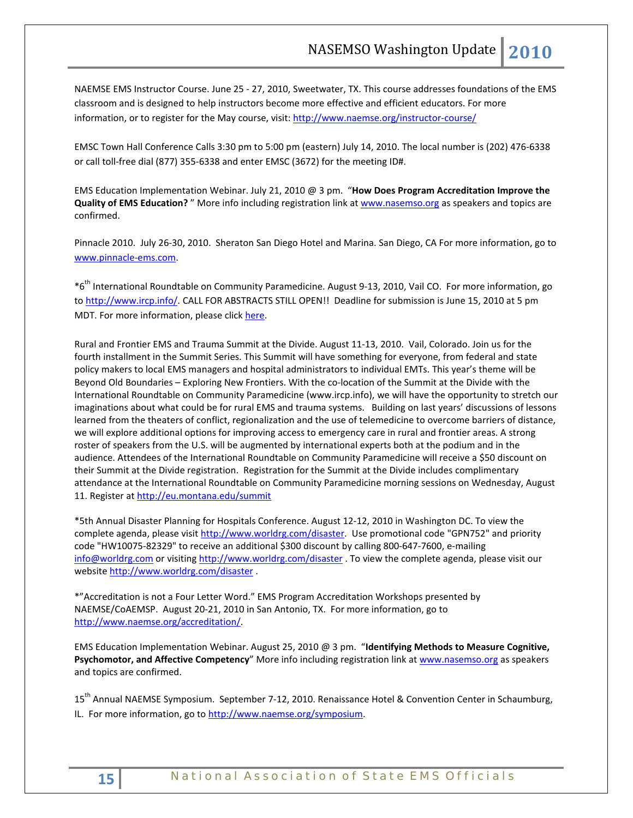NAEMSE EMS Instructor Course. June 25 - 27, 2010, Sweetwater, TX. This course addresses foundations of the EMS classroom and is designed to help instructors become more effective and efficient educators. For more information, or to register for the May course, visit[: http://www.naemse.org/instructor-course/](http://www.naemse.org/instructor-course/)

EMSC Town Hall Conference Calls 3:30 pm to 5:00 pm (eastern) July 14, 2010. The local number is (202) 476-6338 or call toll-free dial (877) 355-6338 and enter EMSC (3672) for the meeting ID#.

EMS Education Implementation Webinar. July 21, 2010 @ 3 pm. "**How Does Program Accreditation Improve the Quality of EMS Education?** " More info including registration link at [www.nasemso.org](http://www.nasemso.org/) as speakers and topics are confirmed.

Pinnacle 2010. July 26-30, 2010. Sheraton San Diego Hotel and Marina. San Diego, CA For more information, go to [www.pinnacle-ems.com.](http://www.pinnacle-ems.com/) 

\*6 th International Roundtable on Community Paramedicine. August 9-13, 2010, Vail CO. For more information, go to [http://www.ircp.info/.](http://www.ircp.info/) CALL FOR ABSTRACTS STILL OPEN!! Deadline for submission is June 15, 2010 at 5 pm MDT. For more information, please click [here.](http://ircp.info/LinkClick.aspx?fileticket=mJB%2fkPjEeFc%3d&tabid=233&mid=730)

Rural and Frontier EMS and Trauma Summit at the Divide. August 11-13, 2010. Vail, Colorado. Join us for the fourth installment in the Summit Series. This Summit will have something for everyone, from federal and state policy makers to local EMS managers and hospital administrators to individual EMTs. This year's theme will be Beyond Old Boundaries – Exploring New Frontiers. With the co-location of the Summit at the Divide with the International Roundtable on Community Paramedicine (www.ircp.info), we will have the opportunity to stretch our imaginations about what could be for rural EMS and trauma systems. Building on last years' discussions of lessons learned from the theaters of conflict, regionalization and the use of telemedicine to overcome barriers of distance, we will explore additional options for improving access to emergency care in rural and frontier areas. A strong roster of speakers from the U.S. will be augmented by international experts both at the podium and in the audience. Attendees of the International Roundtable on Community Paramedicine will receive a \$50 discount on their Summit at the Divide registration. Registration for the Summit at the Divide includes complimentary attendance at the International Roundtable on Community Paramedicine morning sessions on Wednesday, August 11. Register a[t http://eu.montana.edu/summit](http://eu.montana.edu/summit)

\*5th Annual Disaster Planning for Hospitals Conference. August 12-12, 2010 in Washington DC. To view the complete agenda, please visit [http://www.worldrg.com/disaster.](http://econnect.dmsgs.com/t/8631688/83269114/258003/0/) Use promotional code "GPN752" and priority code "HW10075-82329" to receive an additional \$300 discount by calling 800-647-7600, e-mailing [info@worldrg.com](mailto:info@worldrg.com) or visitin[g http://www.worldrg.com/disaster](http://econnect.dmsgs.com/t/8631688/83269114/258003/0/) . To view the complete agenda, please visit our website [http://www.worldrg.com/disaster](http://econnect.dmsgs.com/t/8631688/83269114/258003/0/) .

\*"Accreditation is not a Four Letter Word." EMS Program Accreditation Workshops presented by NAEMSE/CoAEMSP. August 20-21, 2010 in San Antonio, TX. For more information, go to [http://www.naemse.org/accreditation/.](http://www.naemse.org/accreditation/)

EMS Education Implementation Webinar. August 25, 2010 @ 3 pm. "**Identifying Methods to Measure Cognitive,**  Psychomotor, and Affective Competency" More info including registration link at [www.nasemso.org](http://www.nasemso.org/) as speakers and topics are confirmed.

15<sup>th</sup> Annual NAEMSE Symposium. September 7-12, 2010. Renaissance Hotel & Convention Center in Schaumburg, IL. For more information, go t[o http://www.naemse.org/symposium.](http://www.naemse.org/symposium)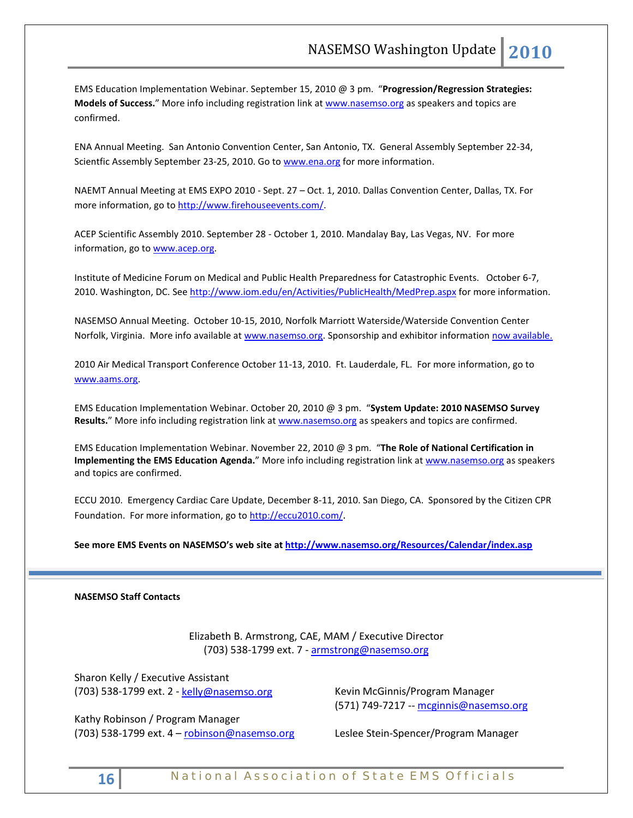EMS Education Implementation Webinar. September 15, 2010 @ 3 pm. "**Progression/Regression Strategies: Models of Success.**" More info including registration link at [www.nasemso.org](http://www.nasemso.org/) as speakers and topics are confirmed.

ENA Annual Meeting. San Antonio Convention Center, San Antonio, TX. General Assembly September 22-34, Scientfic Assembly September 23-25, 2010. Go to [www.ena.org](http://www.ena.org/) for more information.

NAEMT Annual Meeting at EMS EXPO 2010 - Sept. 27 – Oct. 1, 2010. Dallas Convention Center, Dallas, TX. For more information, go to [http://www.firehouseevents.com/.](http://www.firehouseevents.com/)

ACEP Scientific Assembly 2010. September 28 - October 1, 2010. Mandalay Bay, Las Vegas, NV. For more information, go to www.acep.org.

Institute of Medicine Forum on Medical and Public Health Preparedness for Catastrophic Events. October 6-7, 2010. Washington, DC. See<http://www.iom.edu/en/Activities/PublicHealth/MedPrep.aspx> for more information.

NASEMSO Annual Meeting. October 10-15, 2010, Norfolk Marriott Waterside/Waterside Convention Center Norfolk, Virginia. More info available at [www.nasemso.org.](http://www.nasemso.org/) Sponsorship and exhibitor information [now available.](http://www.nasemso.org/Meetings/Annual/NASEMSO2010Sponsors-Exhibitors.asp)

2010 Air Medical Transport Conference October 11-13, 2010. Ft. Lauderdale, FL. For more information, go to [www.aams.org.](http://www.aams.org/) 

EMS Education Implementation Webinar. October 20, 2010 @ 3 pm. "**System Update: 2010 NASEMSO Survey**  Results." More info including registration link at [www.nasemso.org](http://www.nasemso.org/) as speakers and topics are confirmed.

EMS Education Implementation Webinar. November 22, 2010 @ 3 pm. "**The Role of National Certification in Implementing the EMS Education Agenda.**" More info including registration link at [www.nasemso.org](http://www.nasemso.org/) as speakers and topics are confirmed.

ECCU 2010. Emergency Cardiac Care Update, December 8-11, 2010. San Diego, CA. Sponsored by the Citizen CPR Foundation. For more information, go t[o http://eccu2010.com/.](http://eccu2010.com/)

**See more EMS Events on NASEMSO's web site at<http://www.nasemso.org/Resources/Calendar/index.asp>**

### **NASEMSO Staff Contacts**

Elizabeth B. Armstrong, CAE, MAM / Executive Director (703) 538-1799 ext. 7 - [armstrong@nasemso.org](mailto:armstrong@nasemso.org)

Sharon Kelly / Executive Assistant (703) 538-1799 ext. 2 - [kelly@nasemso.org](mailto:kelly@nasemso.org)

Kathy Robinson / Program Manager (703) 538-1799 ext. 4 – [robinson@nasemso.org](mailto:robinson@nasemso.org)

Kevin McGinnis/Program Manager (571) 749-7217 -- [mcginnis@nasemso.org](mailto:mcginnis@nasemso.org)

Leslee Stein-Spencer/Program Manager